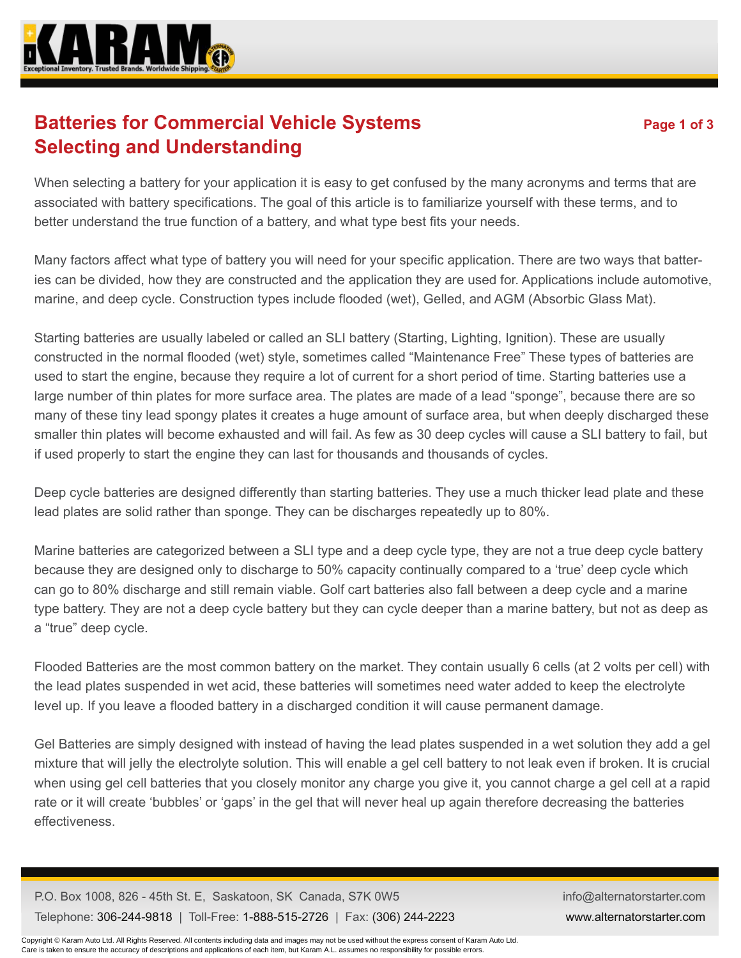

## **Batteries for Commercial Vehicle Systems** Page 1 of 3 **Selecting and Understanding**

When selecting a battery for your application it is easy to get confused by the many acronyms and terms that are associated with battery specifications. The goal of this article is to familiarize yourself with these terms, and to better understand the true function of a battery, and what type best fits your needs.

Many factors affect what type of battery you will need for your specific application. There are two ways that batteries can be divided, how they are constructed and the application they are used for. Applications include automotive, marine, and deep cycle. Construction types include flooded (wet), Gelled, and AGM (Absorbic Glass Mat).

Starting batteries are usually labeled or called an SLI battery (Starting, Lighting, Ignition). These are usually constructed in the normal flooded (wet) style, sometimes called "Maintenance Free" These types of batteries are used to start the engine, because they require a lot of current for a short period of time. Starting batteries use a large number of thin plates for more surface area. The plates are made of a lead "sponge", because there are so many of these tiny lead spongy plates it creates a huge amount of surface area, but when deeply discharged these smaller thin plates will become exhausted and will fail. As few as 30 deep cycles will cause a SLI battery to fail, but if used properly to start the engine they can last for thousands and thousands of cycles.

Deep cycle batteries are designed differently than starting batteries. They use a much thicker lead plate and these lead plates are solid rather than sponge. They can be discharges repeatedly up to 80%.

Marine batteries are categorized between a SLI type and a deep cycle type, they are not a true deep cycle battery because they are designed only to discharge to 50% capacity continually compared to a 'true' deep cycle which can go to 80% discharge and still remain viable. Golf cart batteries also fall between a deep cycle and a marine type battery. They are not a deep cycle battery but they can cycle deeper than a marine battery, but not as deep as a "true" deep cycle.

Flooded Batteries are the most common battery on the market. They contain usually 6 cells (at 2 volts per cell) with the lead plates suspended in wet acid, these batteries will sometimes need water added to keep the electrolyte level up. If you leave a flooded battery in a discharged condition it will cause permanent damage.

Gel Batteries are simply designed with instead of having the lead plates suspended in a wet solution they add a gel mixture that will jelly the electrolyte solution. This will enable a gel cell battery to not leak even if broken. It is crucial when using gel cell batteries that you closely monitor any charge you give it, you cannot charge a gel cell at a rapid rate or it will create 'bubbles' or 'gaps' in the gel that will never heal up again therefore decreasing the batteries effectiveness.

P.O. Box 1008, 826 - 45th St. E, Saskatoon, SK Canada, S7K 0W5 Telephone: 306-244-9818 | Toll-Free: 1-888-515-2726 | Fax: (306) 244-2223 info@alternatorstarter.com www.alternatorstarter.com

Copyright © Karam Auto Ltd. All Rights Reserved. All contents including data and images may not be used without the express consent of Karam Auto Ltd. Care is taken to ensure the accuracy of descriptions and applications of each item, but Karam A.L. assumes no responsibility for possible errors.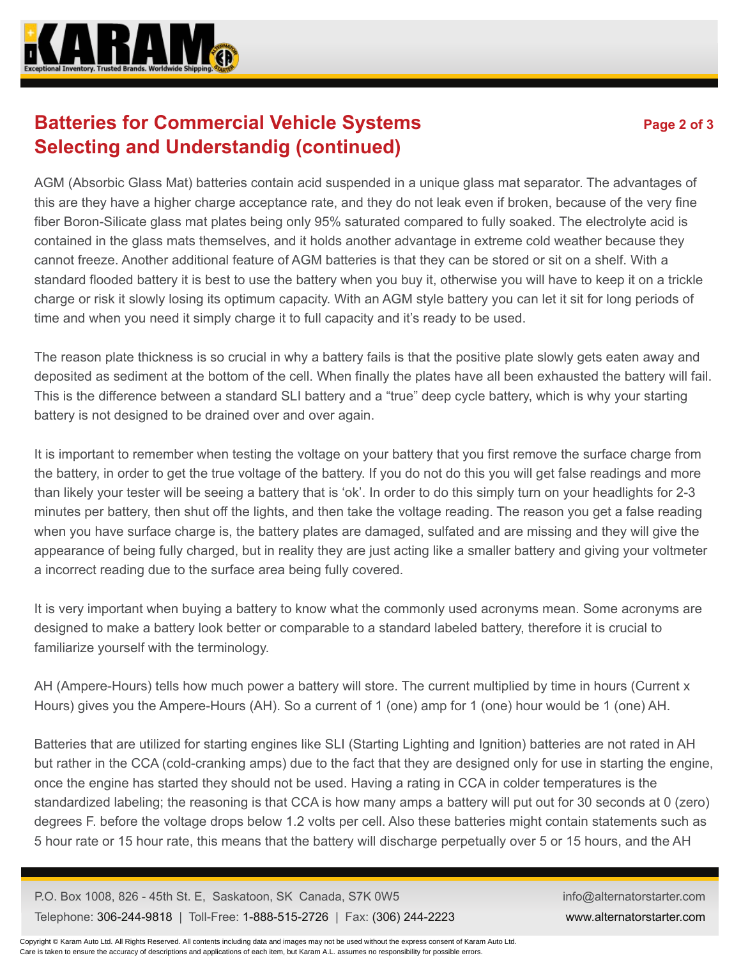

## **Batteries for Commercial Vehicle Systems** Page 2 of 3 **Selecting and Understandig (continued)**

AGM (Absorbic Glass Mat) batteries contain acid suspended in a unique glass mat separator. The advantages of this are they have a higher charge acceptance rate, and they do not leak even if broken, because of the very fine fiber Boron-Silicate glass mat plates being only 95% saturated compared to fully soaked. The electrolyte acid is contained in the glass mats themselves, and it holds another advantage in extreme cold weather because they cannot freeze. Another additional feature of AGM batteries is that they can be stored or sit on a shelf. With a standard flooded battery it is best to use the battery when you buy it, otherwise you will have to keep it on a trickle charge or risk it slowly losing its optimum capacity. With an AGM style battery you can let it sit for long periods of time and when you need it simply charge it to full capacity and it's ready to be used.

The reason plate thickness is so crucial in why a battery fails is that the positive plate slowly gets eaten away and deposited as sediment at the bottom of the cell. When finally the plates have all been exhausted the battery will fail. This is the difference between a standard SLI battery and a "true" deep cycle battery, which is why your starting battery is not designed to be drained over and over again.

It is important to remember when testing the voltage on your battery that you first remove the surface charge from the battery, in order to get the true voltage of the battery. If you do not do this you will get false readings and more than likely your tester will be seeing a battery that is 'ok'. In order to do this simply turn on your headlights for 2-3 minutes per battery, then shut off the lights, and then take the voltage reading. The reason you get a false reading when you have surface charge is, the battery plates are damaged, sulfated and are missing and they will give the appearance of being fully charged, but in reality they are just acting like a smaller battery and giving your voltmeter a incorrect reading due to the surface area being fully covered.

It is very important when buying a battery to know what the commonly used acronyms mean. Some acronyms are designed to make a battery look better or comparable to a standard labeled battery, therefore it is crucial to familiarize yourself with the terminology.

AH (Ampere-Hours) tells how much power a battery will store. The current multiplied by time in hours (Current x Hours) gives you the Ampere-Hours (AH). So a current of 1 (one) amp for 1 (one) hour would be 1 (one) AH.

Batteries that are utilized for starting engines like SLI (Starting Lighting and Ignition) batteries are not rated in AH but rather in the CCA (cold-cranking amps) due to the fact that they are designed only for use in starting the engine, once the engine has started they should not be used. Having a rating in CCA in colder temperatures is the standardized labeling; the reasoning is that CCA is how many amps a battery will put out for 30 seconds at 0 (zero) degrees F. before the voltage drops below 1.2 volts per cell. Also these batteries might contain statements such as 5 hour rate or 15 hour rate, this means that the battery will discharge perpetually over 5 or 15 hours, and the AH

P.O. Box 1008, 826 - 45th St. E, Saskatoon, SK Canada, S7K 0W5 Telephone: 306-244-9818 | Toll-Free: 1-888-515-2726 | Fax: (306) 244-2223 info@alternatorstarter.com www.alternatorstarter.com

Copyright © Karam Auto Ltd. All Rights Reserved. All contents including data and images may not be used without the express consent of Karam Auto Ltd. Care is taken to ensure the accuracy of descriptions and applications of each item, but Karam A.L. assumes no responsibility for possible errors.